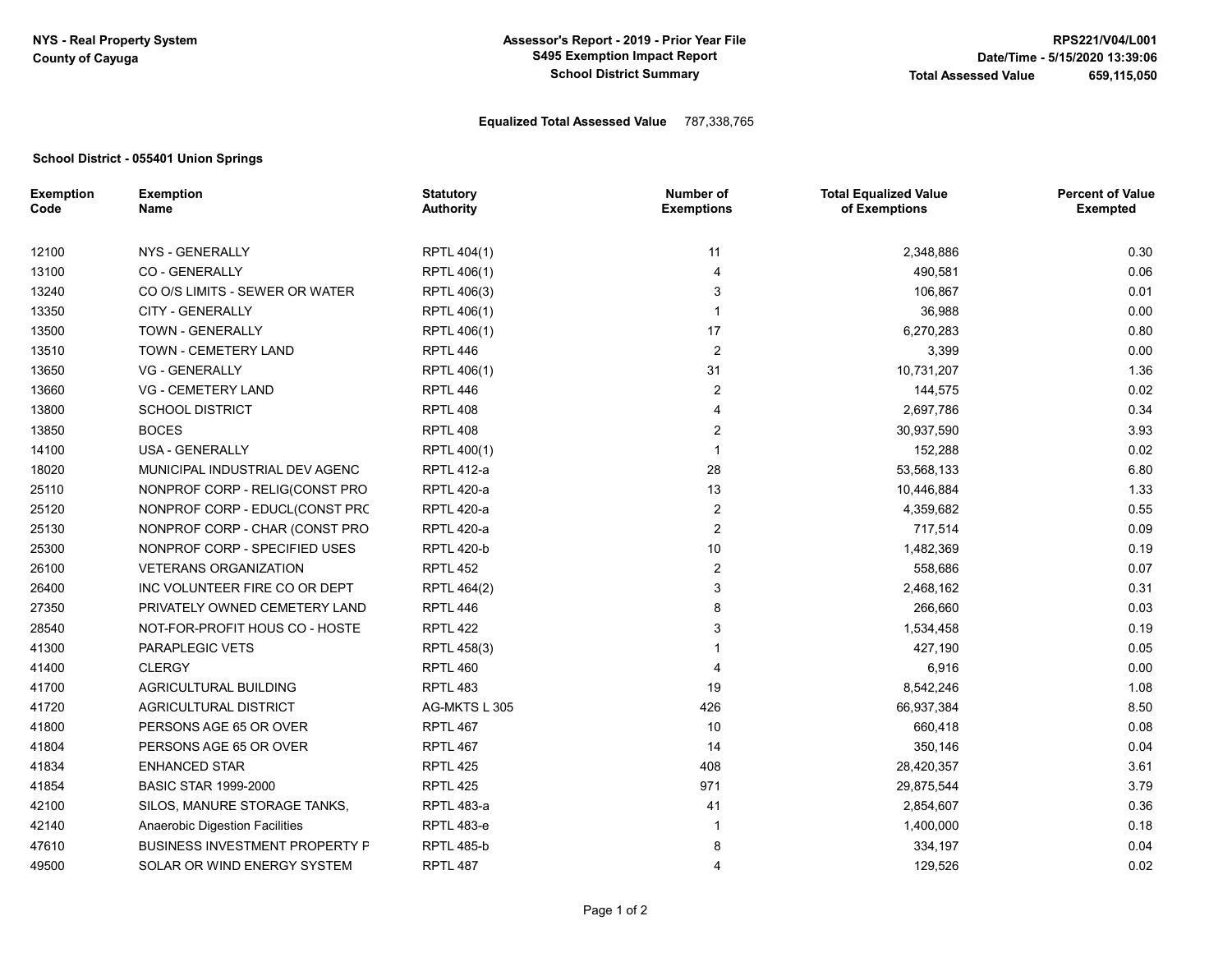## Equalized Total Assessed Value 787,338,765

## School District - 055401 Union Springs

| <b>Exemption</b><br>Code | <b>Exemption</b><br>Name              | <b>Statutory</b><br><b>Authority</b> | Number of<br><b>Exemptions</b> | <b>Total Equalized Value</b><br>of Exemptions | <b>Percent of Value</b><br><b>Exempted</b> |
|--------------------------|---------------------------------------|--------------------------------------|--------------------------------|-----------------------------------------------|--------------------------------------------|
| 12100                    | NYS - GENERALLY                       | RPTL 404(1)                          | 11                             | 2,348,886                                     | 0.30                                       |
| 13100                    | <b>CO - GENERALLY</b>                 | RPTL 406(1)                          | 4                              | 490,581                                       | 0.06                                       |
| 13240                    | CO O/S LIMITS - SEWER OR WATER        | RPTL 406(3)                          | 3                              | 106,867                                       | 0.01                                       |
| 13350                    | <b>CITY - GENERALLY</b>               | RPTL 406(1)                          | 1                              | 36,988                                        | 0.00                                       |
| 13500                    | TOWN - GENERALLY                      | RPTL 406(1)                          | 17                             | 6,270,283                                     | 0.80                                       |
| 13510                    | TOWN - CEMETERY LAND                  | RPTL 446                             | $\overline{2}$                 | 3,399                                         | 0.00                                       |
| 13650                    | <b>VG - GENERALLY</b>                 | RPTL 406(1)                          | 31                             | 10,731,207                                    | 1.36                                       |
| 13660                    | <b>VG - CEMETERY LAND</b>             | <b>RPTL 446</b>                      | 2                              | 144,575                                       | 0.02                                       |
| 13800                    | <b>SCHOOL DISTRICT</b>                | <b>RPTL 408</b>                      | 4                              | 2,697,786                                     | 0.34                                       |
| 13850                    | <b>BOCES</b>                          | <b>RPTL 408</b>                      | 2                              | 30,937,590                                    | 3.93                                       |
| 14100                    | USA - GENERALLY                       | RPTL 400(1)                          | $\mathbf 1$                    | 152,288                                       | 0.02                                       |
| 18020                    | MUNICIPAL INDUSTRIAL DEV AGENC        | <b>RPTL 412-a</b>                    | 28                             | 53,568,133                                    | 6.80                                       |
| 25110                    | NONPROF CORP - RELIG(CONST PRO        | <b>RPTL 420-a</b>                    | 13                             | 10,446,884                                    | 1.33                                       |
| 25120                    | NONPROF CORP - EDUCL(CONST PRC        | <b>RPTL 420-a</b>                    | 2                              | 4,359,682                                     | 0.55                                       |
| 25130                    | NONPROF CORP - CHAR (CONST PRO        | <b>RPTL 420-a</b>                    | 2                              | 717,514                                       | 0.09                                       |
| 25300                    | NONPROF CORP - SPECIFIED USES         | <b>RPTL 420-b</b>                    | 10                             | 1,482,369                                     | 0.19                                       |
| 26100                    | <b>VETERANS ORGANIZATION</b>          | <b>RPTL 452</b>                      | $\overline{2}$                 | 558,686                                       | 0.07                                       |
| 26400                    | INC VOLUNTEER FIRE CO OR DEPT         | RPTL 464(2)                          | 3                              | 2,468,162                                     | 0.31                                       |
| 27350                    | PRIVATELY OWNED CEMETERY LAND         | <b>RPTL 446</b>                      | 8                              | 266,660                                       | 0.03                                       |
| 28540                    | NOT-FOR-PROFIT HOUS CO - HOSTE        | <b>RPTL 422</b>                      | 3                              | 1,534,458                                     | 0.19                                       |
| 41300                    | PARAPLEGIC VETS                       | RPTL 458(3)                          |                                | 427,190                                       | 0.05                                       |
| 41400                    | <b>CLERGY</b>                         | <b>RPTL 460</b>                      | 4                              | 6,916                                         | 0.00                                       |
| 41700                    | AGRICULTURAL BUILDING                 | <b>RPTL 483</b>                      | 19                             | 8,542,246                                     | 1.08                                       |
| 41720                    | AGRICULTURAL DISTRICT                 | AG-MKTS L 305                        | 426                            | 66,937,384                                    | 8.50                                       |
| 41800                    | PERSONS AGE 65 OR OVER                | <b>RPTL 467</b>                      | 10                             | 660,418                                       | 0.08                                       |
| 41804                    | PERSONS AGE 65 OR OVER                | <b>RPTL 467</b>                      | 14                             | 350,146                                       | 0.04                                       |
| 41834                    | <b>ENHANCED STAR</b>                  | RPTL 425                             | 408                            | 28,420,357                                    | 3.61                                       |
| 41854                    | <b>BASIC STAR 1999-2000</b>           | <b>RPTL 425</b>                      | 971                            | 29,875,544                                    | 3.79                                       |
| 42100                    | SILOS, MANURE STORAGE TANKS,          | <b>RPTL 483-a</b>                    | 41                             | 2,854,607                                     | 0.36                                       |
| 42140                    | Anaerobic Digestion Facilities        | <b>RPTL 483-e</b>                    | 1                              | 1,400,000                                     | 0.18                                       |
| 47610                    | <b>BUSINESS INVESTMENT PROPERTY P</b> | <b>RPTL 485-b</b>                    | 8                              | 334,197                                       | 0.04                                       |
| 49500                    | SOLAR OR WIND ENERGY SYSTEM           | <b>RPTL 487</b>                      | 4                              | 129,526                                       | 0.02                                       |